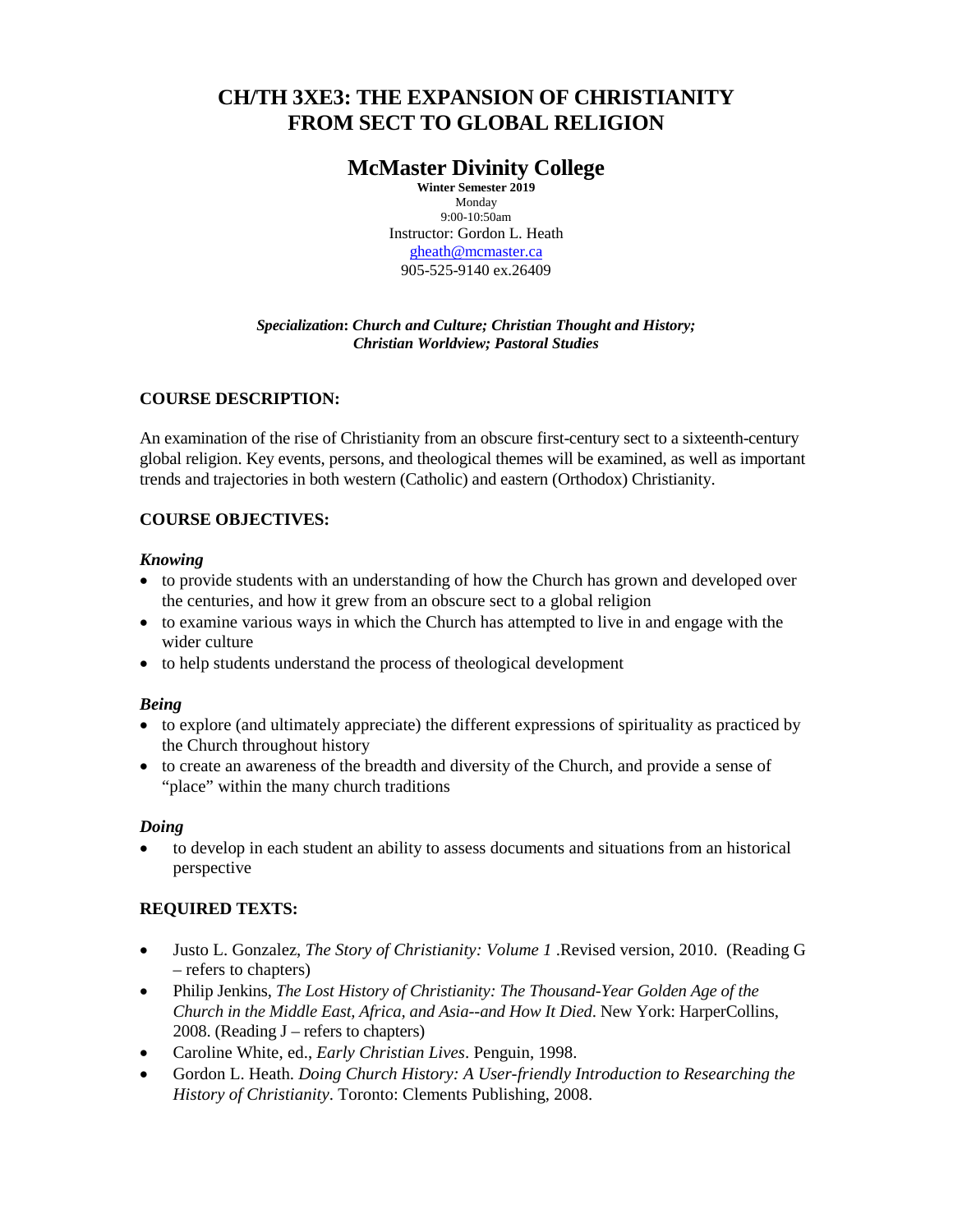# **CH/TH 3XE3: THE EXPANSION OF CHRISTIANITY FROM SECT TO GLOBAL RELIGION**

## **McMaster Divinity College**

**Winter Semester 2019** Monday 9:00-10:50am Instructor: Gordon L. Heath [gheath@mcmaster.ca](mailto:gheath@mcmaster.ca) 905-525-9140 ex.26409

## *Specialization***:** *Church and Culture; Christian Thought and History; Christian Worldview; Pastoral Studies*

## **COURSE DESCRIPTION:**

An examination of the rise of Christianity from an obscure first-century sect to a sixteenth-century global religion. Key events, persons, and theological themes will be examined, as well as important trends and trajectories in both western (Catholic) and eastern (Orthodox) Christianity.

## **COURSE OBJECTIVES:**

## *Knowing*

- to provide students with an understanding of how the Church has grown and developed over the centuries, and how it grew from an obscure sect to a global religion
- to examine various ways in which the Church has attempted to live in and engage with the wider culture
- to help students understand the process of theological development

## *Being*

- to explore (and ultimately appreciate) the different expressions of spirituality as practiced by the Church throughout history
- to create an awareness of the breadth and diversity of the Church, and provide a sense of "place" within the many church traditions

## *Doing*

• to develop in each student an ability to assess documents and situations from an historical perspective

## **REQUIRED TEXTS:**

- Justo L. Gonzalez, *The Story of Christianity: Volume 1* .Revised version, 2010. (Reading G – refers to chapters)
- Philip Jenkins, *The Lost History of Christianity: The Thousand-Year Golden Age of the Church in the Middle East, Africa, and Asia--and How It Died*. New York: HarperCollins, 2008. (Reading J – refers to chapters)
- Caroline White, ed., *Early Christian Lives*. Penguin, 1998.
- Gordon L. Heath. *Doing Church History: A User-friendly Introduction to Researching the History of Christianity*. Toronto: Clements Publishing, 2008.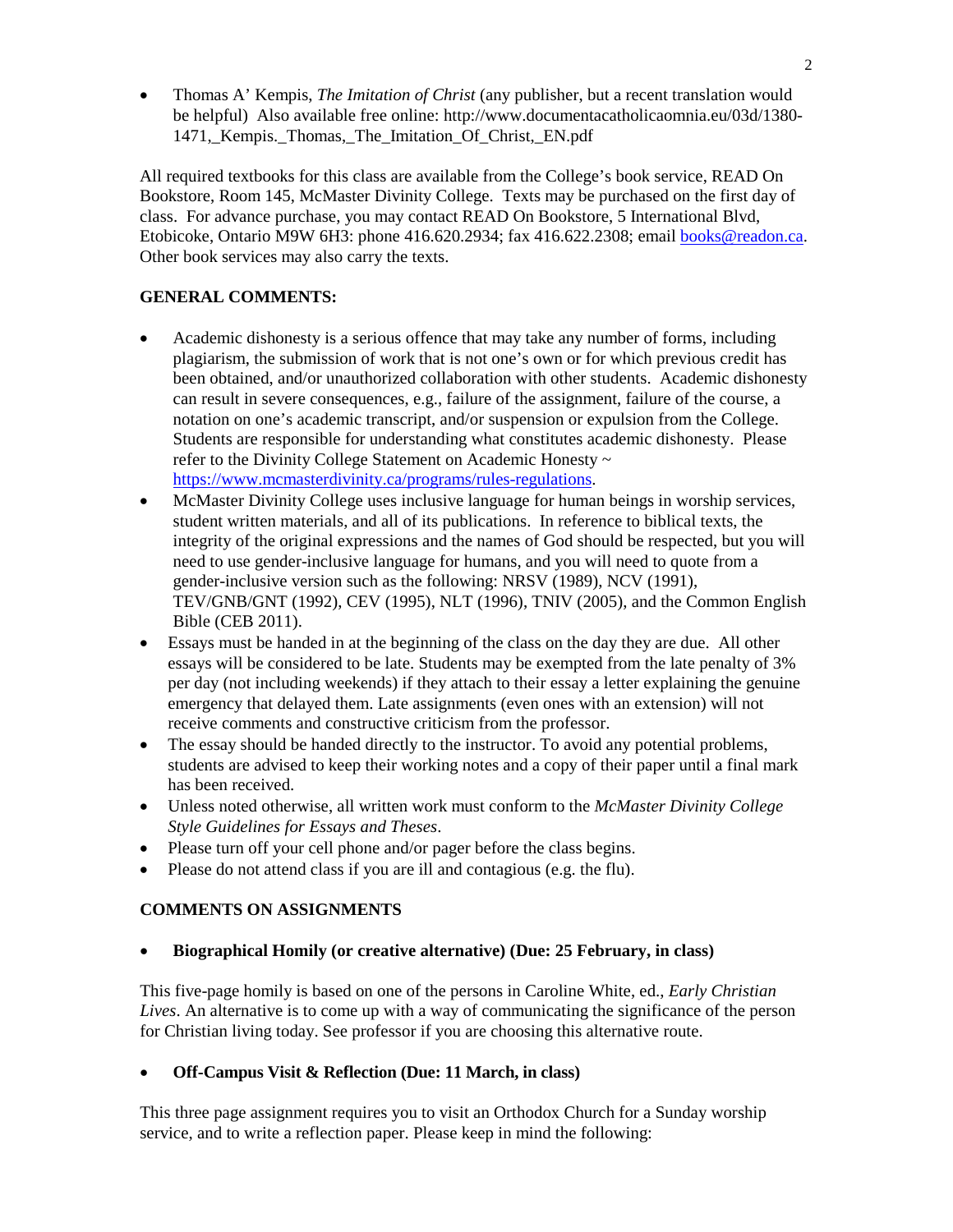• Thomas A' Kempis, *The Imitation of Christ* (any publisher, but a recent translation would be helpful) Also available free online: http://www.documentacatholicaomnia.eu/03d/1380- 1471, Kempis. Thomas, The Imitation Of Christ, EN.pdf

All required textbooks for this class are available from the College's book service, READ On Bookstore, Room 145, McMaster Divinity College. Texts may be purchased on the first day of class. For advance purchase, you may contact READ On Bookstore, 5 International Blvd, Etobicoke, Ontario M9W 6H3: phone 416.620.2934; fax 416.622.2308; email [books@readon.ca.](mailto:books@readon.ca) Other book services may also carry the texts.

## **GENERAL COMMENTS:**

- Academic dishonesty is a serious offence that may take any number of forms, including plagiarism, the submission of work that is not one's own or for which previous credit has been obtained, and/or unauthorized collaboration with other students. Academic dishonesty can result in severe consequences, e.g., failure of the assignment, failure of the course, a notation on one's academic transcript, and/or suspension or expulsion from the College. Students are responsible for understanding what constitutes academic dishonesty. Please refer to the Divinity College Statement on Academic Honesty ~ [https://www.mcmasterdivinity.ca/programs/rules-regulations.](https://www.mcmasterdivinity.ca/programs/rules-regulations)
- McMaster Divinity College uses inclusive language for human beings in worship services, student written materials, and all of its publications. In reference to biblical texts, the integrity of the original expressions and the names of God should be respected, but you will need to use gender-inclusive language for humans, and you will need to quote from a gender-inclusive version such as the following: NRSV (1989), NCV (1991), TEV/GNB/GNT (1992), CEV (1995), NLT (1996), TNIV (2005), and the Common English Bible (CEB 2011).
- Essays must be handed in at the beginning of the class on the day they are due. All other essays will be considered to be late. Students may be exempted from the late penalty of 3% per day (not including weekends) if they attach to their essay a letter explaining the genuine emergency that delayed them. Late assignments (even ones with an extension) will not receive comments and constructive criticism from the professor.
- The essay should be handed directly to the instructor. To avoid any potential problems, students are advised to keep their working notes and a copy of their paper until a final mark has been received.
- Unless noted otherwise, all written work must conform to the *McMaster Divinity College Style Guidelines for Essays and Theses*.
- Please turn off your cell phone and/or pager before the class begins.
- Please do not attend class if you are ill and contagious (e.g. the flu).

## **COMMENTS ON ASSIGNMENTS**

## • **Biographical Homily (or creative alternative) (Due: 25 February, in class)**

This five-page homily is based on one of the persons in Caroline White, ed., *Early Christian Lives*. An alternative is to come up with a way of communicating the significance of the person for Christian living today. See professor if you are choosing this alternative route.

## • **Off-Campus Visit & Reflection (Due: 11 March, in class)**

This three page assignment requires you to visit an Orthodox Church for a Sunday worship service, and to write a reflection paper. Please keep in mind the following: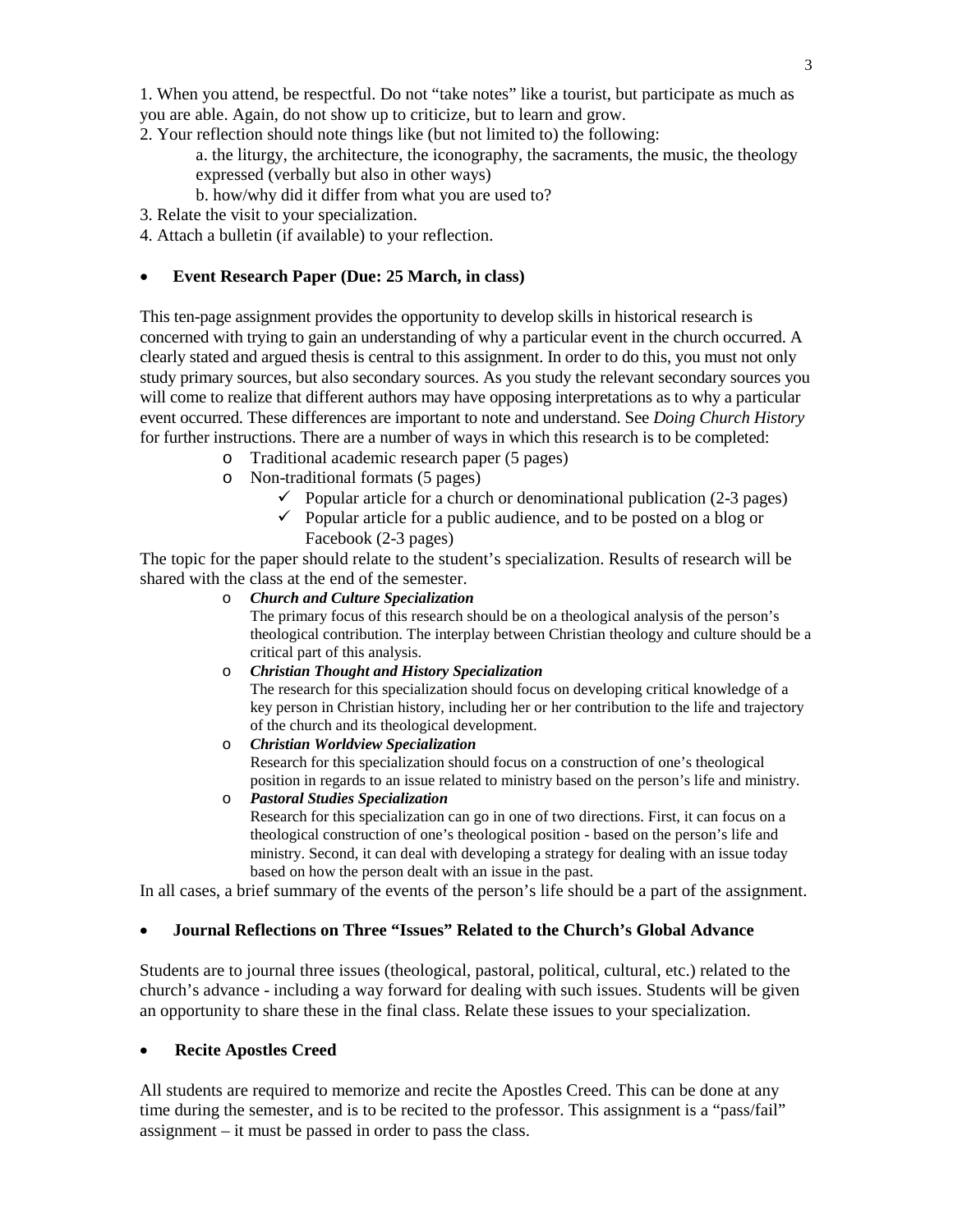1. When you attend, be respectful. Do not "take notes" like a tourist, but participate as much as you are able. Again, do not show up to criticize, but to learn and grow.

2. Your reflection should note things like (but not limited to) the following:

a. the liturgy, the architecture, the iconography, the sacraments, the music, the theology expressed (verbally but also in other ways)

b. how/why did it differ from what you are used to?

3. Relate the visit to your specialization.

4. Attach a bulletin (if available) to your reflection.

#### • **Event Research Paper (Due: 25 March, in class)**

This ten-page assignment provides the opportunity to develop skills in historical research is concerned with trying to gain an understanding of why a particular event in the church occurred. A clearly stated and argued thesis is central to this assignment. In order to do this, you must not only study primary sources, but also secondary sources. As you study the relevant secondary sources you will come to realize that different authors may have opposing interpretations as to why a particular event occurred. These differences are important to note and understand. See *Doing Church History* for further instructions. There are a number of ways in which this research is to be completed:

- o Traditional academic research paper (5 pages)
- o Non-traditional formats (5 pages)
	- $\checkmark$  Popular article for a church or denominational publication (2-3 pages)
	- $\checkmark$  Popular article for a public audience, and to be posted on a blog or Facebook (2-3 pages)

The topic for the paper should relate to the student's specialization. Results of research will be shared with the class at the end of the semester.

o *Church and Culture Specialization*

The primary focus of this research should be on a theological analysis of the person's theological contribution. The interplay between Christian theology and culture should be a critical part of this analysis.

o *Christian Thought and History Specialization*

The research for this specialization should focus on developing critical knowledge of a key person in Christian history, including her or her contribution to the life and trajectory of the church and its theological development.

o *Christian Worldview Specialization*

Research for this specialization should focus on a construction of one's theological position in regards to an issue related to ministry based on the person's life and ministry.

o *Pastoral Studies Specialization* Research for this specialization can go in one of two directions. First, it can focus on a theological construction of one's theological position - based on the person's life and ministry. Second, it can deal with developing a strategy for dealing with an issue today based on how the person dealt with an issue in the past.

In all cases, a brief summary of the events of the person's life should be a part of the assignment.

#### • **Journal Reflections on Three "Issues" Related to the Church's Global Advance**

Students are to journal three issues (theological, pastoral, political, cultural, etc.) related to the church's advance - including a way forward for dealing with such issues. Students will be given an opportunity to share these in the final class. Relate these issues to your specialization.

#### • **Recite Apostles Creed**

All students are required to memorize and recite the Apostles Creed. This can be done at any time during the semester, and is to be recited to the professor. This assignment is a "pass/fail" assignment – it must be passed in order to pass the class.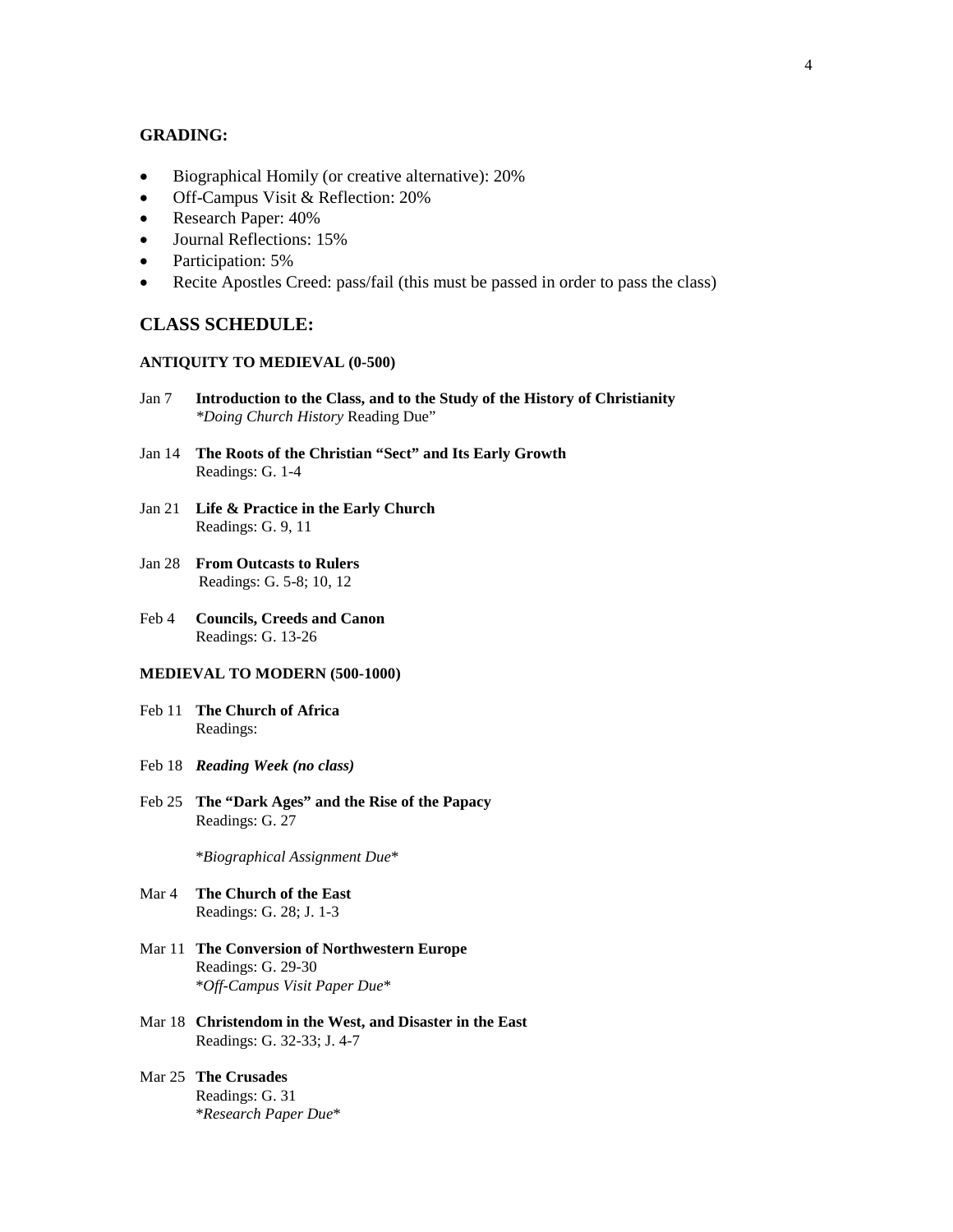#### **GRADING:**

- Biographical Homily (or creative alternative): 20%
- Off-Campus Visit & Reflection: 20%
- Research Paper:  $40\%$
- Journal Reflections: 15%
- Participation: 5%
- Recite Apostles Creed: pass/fail (this must be passed in order to pass the class)

#### **CLASS SCHEDULE:**

#### **ANTIQUITY TO MEDIEVAL (0-500)**

- Jan 7 **Introduction to the Class, and to the Study of the History of Christianity**  *\*Doing Church History* Reading Due"
- Jan 14 **The Roots of the Christian "Sect" and Its Early Growth** Readings: G. 1-4
- Jan 21 **Life & Practice in the Early Church** Readings: G. 9, 11
- Jan 28 **From Outcasts to Rulers** Readings: G. 5-8; 10, 12
- Feb 4 **Councils, Creeds and Canon** Readings: G. 13-26

#### **MEDIEVAL TO MODERN (500-1000)**

- Feb 11 **The Church of Africa** Readings:
- Feb 18 *Reading Week (no class)*
- Feb 25 **The "Dark Ages" and the Rise of the Papacy** Readings: G. 27

\**Biographical Assignment Due*\*

- Mar 4 **The Church of the East** Readings: G. 28; J. 1-3
- Mar 11 **The Conversion of Northwestern Europe** Readings: G. 29-30 \**Off-Campus Visit Paper Due*\*
- Mar 18 **Christendom in the West, and Disaster in the East** Readings: G. 32-33; J. 4-7
- Mar 25 **The Crusades** Readings: G. 31 \**Research Paper Due*\*